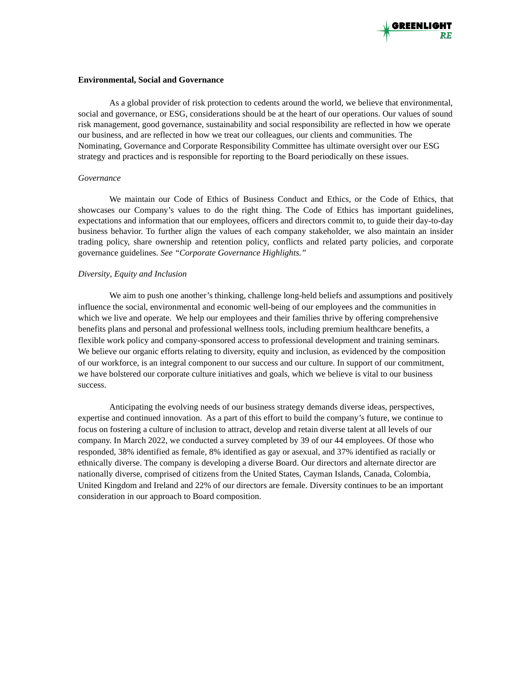#### **Environmental, Social and Governance**

As a global provider of risk protection to cedents around the world, we believe that environmental, social and governance, or ESG, considerations should be at the heart of our operations. Our values of sound risk management, good governance, sustainability and social responsibility are reflected in how we operate our business, and are reflected in how we treat our colleagues, our clients and communities. The Nominating, Governance and Corporate Responsibility Committee has ultimate oversight over our ESG strategy and practices and is responsible for reporting to the Board periodically on these issues.

## *Governance*

We maintain our Code of Ethics of Business Conduct and Ethics, or the Code of Ethics, that showcases our Company's values to do the right thing. The Code of Ethics has important guidelines, expectations and information that our employees, officers and directors commit to, to guide their day-to-day business behavior. To further align the values of each company stakeholder, we also maintain an insider trading policy, share ownership and retention policy, conflicts and related party policies, and corporate governance guidelines. *See "Corporate Governance Highlights."*

## *Diversity*, *Equity and Inclusion*

We aim to push one another's thinking, challenge long-held beliefs and assumptions and positively influence the social, environmental and economic well-being of our employees and the communities in which we live and operate. We help our employees and their families thrive by offering comprehensive benefits plans and personal and professional wellness tools, including premium healthcare benefits, a flexible work policy and company-sponsored access to professional development and training seminars. We believe our organic efforts relating to diversity, equity and inclusion, as evidenced by the composition of our workforce, is an integral component to our success and our culture. In support of our commitment, we have bolstered our corporate culture initiatives and goals, which we believe is vital to our business success.

Anticipating the evolving needs of our business strategy demands diverse ideas, perspectives, expertise and continued innovation. As a part of this effort to build the company's future, we continue to focus on fostering a culture of inclusion to attract, develop and retain diverse talent at all levels of our company. In March 2022, we conducted a survey completed by 39 of our 44 employees. Of those who responded, 38% identified as female, 8% identified as gay or asexual, and 37% identified as racially or ethnically diverse. The company is developing a diverse Board. Our directors and alternate director are nationally diverse, comprised of citizens from the United States, Cayman Islands, Canada, Colombia, United Kingdom and Ireland and 22% of our directors are female. Diversity continues to be an important consideration in our approach to Board composition.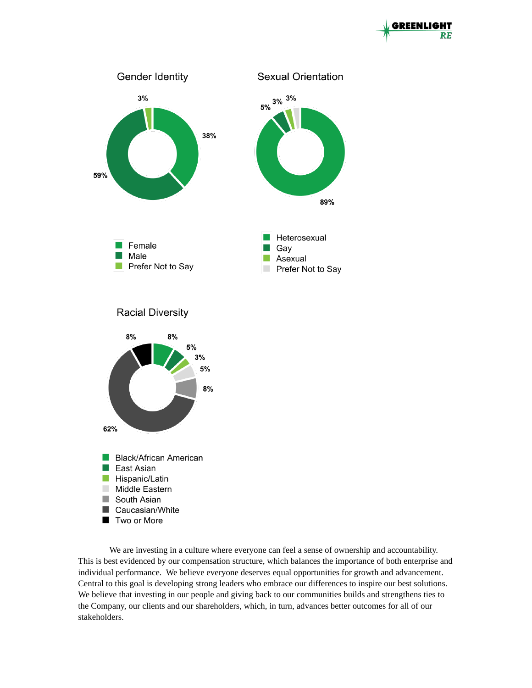



We are investing in a culture where everyone can feel a sense of ownership and accountability. This is best evidenced by our compensation structure, which balances the importance of both enterprise and individual performance. We believe everyone deserves equal opportunities for growth and advancement. Central to this goal is developing strong leaders who embrace our differences to inspire our best solutions. We believe that investing in our people and giving back to our communities builds and strengthens ties to the Company, our clients and our shareholders, which, in turn, advances better outcomes for all of our stakeholders.